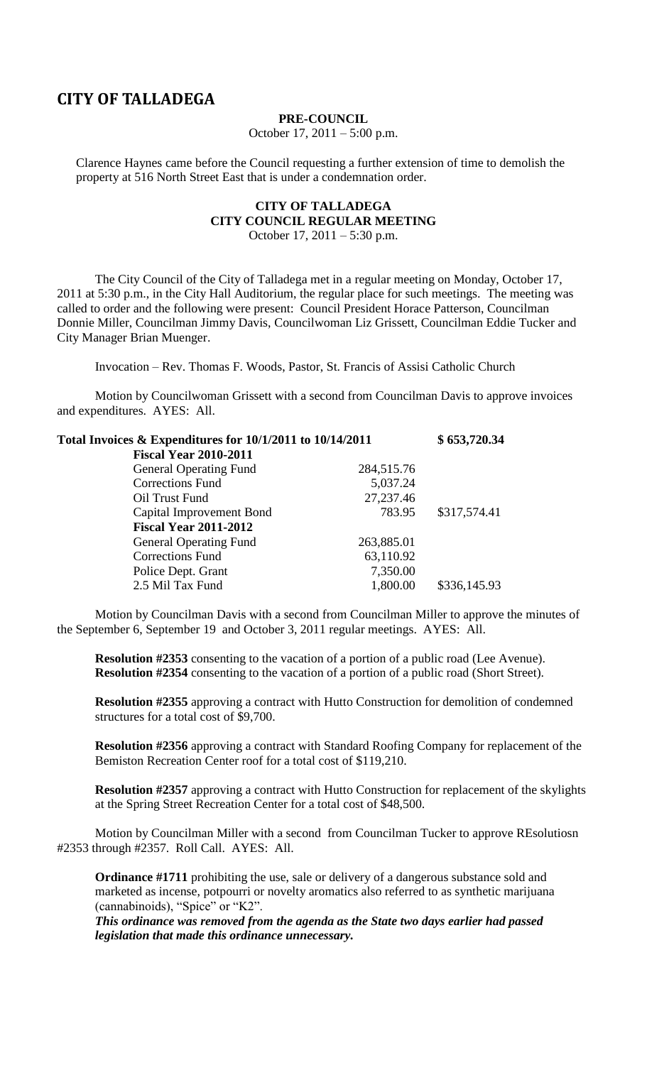## **CITY OF TALLADEGA**

## **PRE-COUNCIL**

October 17, 2011 – 5:00 p.m.

Clarence Haynes came before the Council requesting a further extension of time to demolish the property at 516 North Street East that is under a condemnation order.

## **CITY OF TALLADEGA CITY COUNCIL REGULAR MEETING** October 17, 2011 – 5:30 p.m.

The City Council of the City of Talladega met in a regular meeting on Monday, October 17, 2011 at 5:30 p.m., in the City Hall Auditorium, the regular place for such meetings. The meeting was called to order and the following were present: Council President Horace Patterson, Councilman Donnie Miller, Councilman Jimmy Davis, Councilwoman Liz Grissett, Councilman Eddie Tucker and City Manager Brian Muenger.

Invocation – Rev. Thomas F. Woods, Pastor, St. Francis of Assisi Catholic Church

Motion by Councilwoman Grissett with a second from Councilman Davis to approve invoices and expenditures. AYES: All.

| Total Invoices & Expenditures for 10/1/2011 to 10/14/2011 |             | \$653,720.34 |
|-----------------------------------------------------------|-------------|--------------|
| <b>Fiscal Year 2010-2011</b>                              |             |              |
| <b>General Operating Fund</b>                             | 284,515.76  |              |
| <b>Corrections Fund</b>                                   | 5,037.24    |              |
| Oil Trust Fund                                            | 27, 237. 46 |              |
| Capital Improvement Bond                                  | 783.95      | \$317,574.41 |
| <b>Fiscal Year 2011-2012</b>                              |             |              |
| <b>General Operating Fund</b>                             | 263,885.01  |              |
| <b>Corrections Fund</b>                                   | 63,110.92   |              |
| Police Dept. Grant                                        | 7,350.00    |              |
| 2.5 Mil Tax Fund                                          | 1,800.00    | \$336,145.93 |

Motion by Councilman Davis with a second from Councilman Miller to approve the minutes of the September 6, September 19 and October 3, 2011 regular meetings. AYES: All.

**Resolution #2353** consenting to the vacation of a portion of a public road (Lee Avenue). **Resolution #2354** consenting to the vacation of a portion of a public road (Short Street).

**Resolution #2355** approving a contract with Hutto Construction for demolition of condemned structures for a total cost of \$9,700.

**Resolution #2356** approving a contract with Standard Roofing Company for replacement of the Bemiston Recreation Center roof for a total cost of \$119,210.

**Resolution #2357** approving a contract with Hutto Construction for replacement of the skylights at the Spring Street Recreation Center for a total cost of \$48,500.

Motion by Councilman Miller with a second from Councilman Tucker to approve REsolutiosn #2353 through #2357. Roll Call. AYES: All.

**Ordinance #1711** prohibiting the use, sale or delivery of a dangerous substance sold and marketed as incense, potpourri or novelty aromatics also referred to as synthetic marijuana (cannabinoids), "Spice" or "K2".

*This ordinance was removed from the agenda as the State two days earlier had passed legislation that made this ordinance unnecessary.*